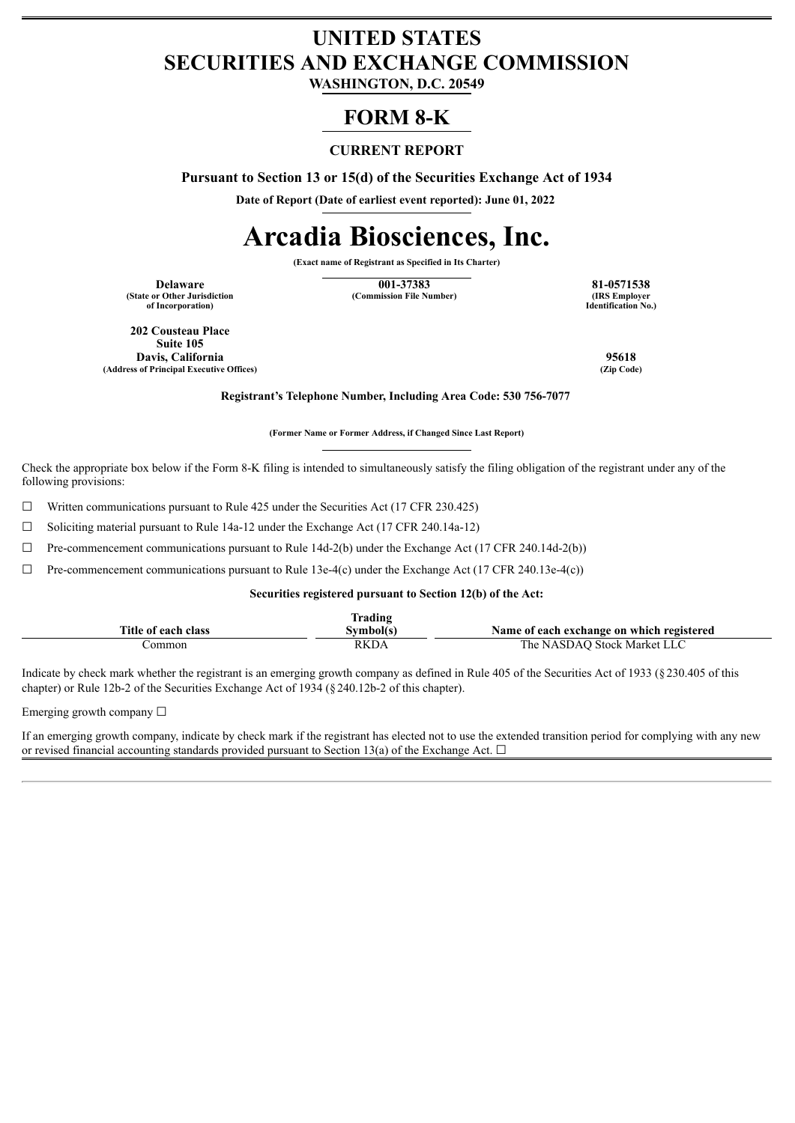# **UNITED STATES SECURITIES AND EXCHANGE COMMISSION**

**WASHINGTON, D.C. 20549**

# **FORM 8-K**

## **CURRENT REPORT**

**Pursuant to Section 13 or 15(d) of the Securities Exchange Act of 1934**

**Date of Report (Date of earliest event reported): June 01, 2022**

# **Arcadia Biosciences, Inc.**

**(Exact name of Registrant as Specified in Its Charter)**

**(State or Other Jurisdiction of Incorporation)**

**Delaware 121-0571538 81-0571538 81-0571538 81-0571538 81-0571538 81-0571538 (Commission File Number)** 

**Identification No.)**

**202 Cousteau Place Suite 105 Davis, California 95618 (Address of Principal Executive Offices) (Zip Code)**

**Registrant's Telephone Number, Including Area Code: 530 756-7077**

**(Former Name or Former Address, if Changed Since Last Report)**

Check the appropriate box below if the Form 8-K filing is intended to simultaneously satisfy the filing obligation of the registrant under any of the following provisions:

☐ Written communications pursuant to Rule 425 under the Securities Act (17 CFR 230.425)

 $\Box$  Soliciting material pursuant to Rule 14a-12 under the Exchange Act (17 CFR 240.14a-12)

 $\Box$  Pre-commencement communications pursuant to Rule 14d-2(b) under the Exchange Act (17 CFR 240.14d-2(b))

 $\Box$  Pre-commencement communications pursuant to Rule 13e-4(c) under the Exchange Act (17 CFR 240.13e-4(c))

**Securities registered pursuant to Section 12(b) of the Act:**

|                     | rading      |                                           |
|---------------------|-------------|-------------------------------------------|
| Title of each class |             | Name of each exchange on which registered |
| ommon               | <b>RKDA</b> | ` Stock Market Li<br>NASDAO<br>. he       |

Indicate by check mark whether the registrant is an emerging growth company as defined in Rule 405 of the Securities Act of 1933 (§230.405 of this chapter) or Rule 12b-2 of the Securities Exchange Act of 1934 (§240.12b-2 of this chapter).

Emerging growth company  $\Box$ 

If an emerging growth company, indicate by check mark if the registrant has elected not to use the extended transition period for complying with any new or revised financial accounting standards provided pursuant to Section 13(a) of the Exchange Act.  $\Box$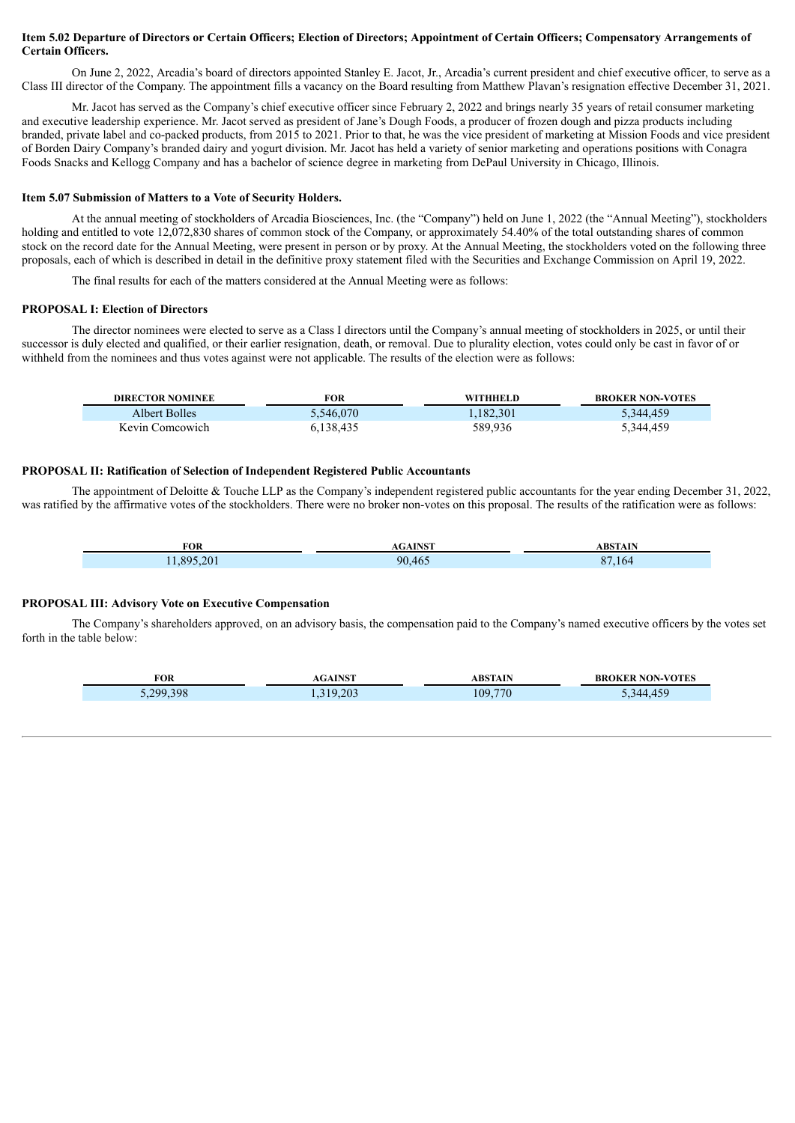#### Item 5.02 Departure of Directors or Certain Officers; Election of Directors; Appointment of Certain Officers; Compensatory Arrangements of **Certain Officers.**

On June 2, 2022, Arcadia's board of directors appointed Stanley E. Jacot, Jr., Arcadia's current president and chief executive officer, to serve as a Class III director of the Company. The appointment fills a vacancy on the Board resulting from Matthew Plavan's resignation effective December 31, 2021.

Mr. Jacot has served as the Company's chief executive officer since February 2, 2022 and brings nearly 35 years of retail consumer marketing and executive leadership experience. Mr. Jacot served as president of Jane's Dough Foods, a producer of frozen dough and pizza products including branded, private label and co-packed products, from 2015 to 2021. Prior to that, he was the vice president of marketing at Mission Foods and vice president of Borden Dairy Company's branded dairy and yogurt division. Mr. Jacot has held a variety of senior marketing and operations positions with Conagra Foods Snacks and Kellogg Company and has a bachelor of science degree in marketing from DePaul University in Chicago, Illinois.

#### **Item 5.07 Submission of Matters to a Vote of Security Holders.**

At the annual meeting of stockholders of Arcadia Biosciences, Inc. (the "Company") held on June 1, 2022 (the "Annual Meeting"), stockholders holding and entitled to vote 12,072,830 shares of common stock of the Company, or approximately 54.40% of the total outstanding shares of common stock on the record date for the Annual Meeting, were present in person or by proxy. At the Annual Meeting, the stockholders voted on the following three proposals, each of which is described in detail in the definitive proxy statement filed with the Securities and Exchange Commission on April 19, 2022.

The final results for each of the matters considered at the Annual Meeting were as follows:

#### **PROPOSAL I: Election of Directors**

The director nominees were elected to serve as a Class I directors until the Company's annual meeting of stockholders in 2025, or until their successor is duly elected and qualified, or their earlier resignation, death, or removal. Due to plurality election, votes could only be cast in favor of or withheld from the nominees and thus votes against were not applicable. The results of the election were as follows:

| <b>DIRECTOR NOMINEE</b> | FOR       | WITHHELD  | <b>BROKER NON-VOTES</b> |
|-------------------------|-----------|-----------|-------------------------|
| Albert Bolles           | 5,546,070 | 1,182,301 | 5,344,459               |
| Kevin Comcowich         | 6.138.435 | 589,936   | 5,344,459               |

#### **PROPOSAL II: Ratification of Selection of Independent Registered Public Accountants**

The appointment of Deloitte & Touche LLP as the Company's independent registered public accountants for the year ending December 31, 2022, was ratified by the affirmative votes of the stockholders. There were no broker non-votes on this proposal. The results of the ratification were as follows:

| <b>FOR</b>           | <b>TAIOT</b> | $\sim$ $\sim$ $\sim$<br>. DV |
|----------------------|--------------|------------------------------|
| $20^{\circ}$<br>-895 | 00A6         | $\sim$ $\sim$<br>h           |

#### **PROPOSAL III: Advisory Vote on Executive Compensation**

The Company's shareholders approved, on an advisory basis, the compensation paid to the Company's named executive officers by the votes set forth in the table below:

| FOR      | <b>AGAINST</b> | ABSTAIN | <b>BROKER NON-VOTES</b> |
|----------|----------------|---------|-------------------------|
| .299.398 | 319.203        | 109,770 | 311                     |